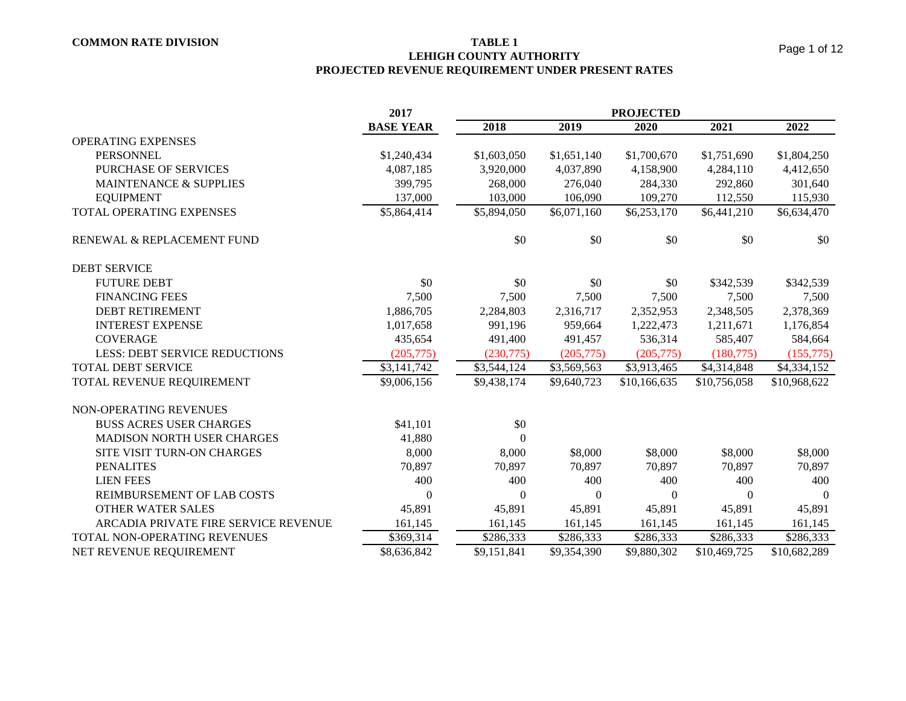**LEHIGH COUNTY AUTHORITY PROJECTED REVENUE REQUIREMENT UNDER PRESENT RATES**

|                                      | 2017             | <b>PROJECTED</b> |             |              |                |              |  |
|--------------------------------------|------------------|------------------|-------------|--------------|----------------|--------------|--|
|                                      | <b>BASE YEAR</b> | 2018             | 2019        | 2020         | 2021           | 2022         |  |
| <b>OPERATING EXPENSES</b>            |                  |                  |             |              |                |              |  |
| <b>PERSONNEL</b>                     | \$1,240,434      | \$1,603,050      | \$1,651,140 | \$1,700,670  | \$1,751,690    | \$1,804,250  |  |
| PURCHASE OF SERVICES                 | 4,087,185        | 3,920,000        | 4,037,890   | 4,158,900    | 4,284,110      | 4,412,650    |  |
| <b>MAINTENANCE &amp; SUPPLIES</b>    | 399,795          | 268,000          | 276,040     | 284,330      | 292,860        | 301,640      |  |
| <b>EQUIPMENT</b>                     | 137,000          | 103,000          | 106,090     | 109,270      | 112,550        | 115,930      |  |
| TOTAL OPERATING EXPENSES             | \$5,864,414      | \$5,894,050      | \$6,071,160 | \$6,253,170  | \$6,441,210    | \$6,634,470  |  |
| RENEWAL & REPLACEMENT FUND           |                  | \$0              | \$0         | \$0          | \$0            | \$0          |  |
| <b>DEBT SERVICE</b>                  |                  |                  |             |              |                |              |  |
| <b>FUTURE DEBT</b>                   | \$0              | \$0              | \$0         | \$0          | \$342,539      | \$342,539    |  |
| <b>FINANCING FEES</b>                | 7,500            | 7,500            | 7,500       | 7,500        | 7,500          | 7,500        |  |
| <b>DEBT RETIREMENT</b>               | 1,886,705        | 2,284,803        | 2,316,717   | 2,352,953    | 2,348,505      | 2,378,369    |  |
| <b>INTEREST EXPENSE</b>              | 1,017,658        | 991,196          | 959,664     | 1,222,473    | 1,211,671      | 1,176,854    |  |
| <b>COVERAGE</b>                      | 435,654          | 491,400          | 491,457     | 536,314      | 585,407        | 584,664      |  |
| <b>LESS: DEBT SERVICE REDUCTIONS</b> | (205, 775)       | (230,775)        | (205,775)   | (205, 775)   | (180, 775)     | (155, 775)   |  |
| TOTAL DEBT SERVICE                   | \$3,141,742      | \$3,544,124      | \$3,569,563 | \$3,913,465  | \$4,314,848    | \$4,334,152  |  |
| TOTAL REVENUE REQUIREMENT            | \$9,006,156      | \$9,438,174      | \$9,640,723 | \$10,166,635 | \$10,756,058   | \$10,968,622 |  |
| NON-OPERATING REVENUES               |                  |                  |             |              |                |              |  |
| <b>BUSS ACRES USER CHARGES</b>       | \$41,101         | \$0              |             |              |                |              |  |
| <b>MADISON NORTH USER CHARGES</b>    | 41,880           | $\Omega$         |             |              |                |              |  |
| SITE VISIT TURN-ON CHARGES           | 8,000            | 8,000            | \$8,000     | \$8,000      | \$8,000        | \$8,000      |  |
| <b>PENALITES</b>                     | 70,897           | 70,897           | 70,897      | 70,897       | 70,897         | 70,897       |  |
| <b>LIEN FEES</b>                     | 400              | 400              | 400         | 400          | 400            | 400          |  |
| REIMBURSEMENT OF LAB COSTS           | $\Omega$         | $\boldsymbol{0}$ | $\theta$    | $\Omega$     | $\overline{0}$ | $\theta$     |  |
| <b>OTHER WATER SALES</b>             | 45,891           | 45,891           | 45,891      | 45,891       | 45,891         | 45,891       |  |
| ARCADIA PRIVATE FIRE SERVICE REVENUE | 161,145          | 161,145          | 161,145     | 161,145      | 161,145        | 161,145      |  |
| TOTAL NON-OPERATING REVENUES         | \$369,314        | \$286,333        | \$286,333   | \$286,333    | \$286,333      | \$286,333    |  |
| NET REVENUE REQUIREMENT              | \$8,636,842      | \$9,151,841      | \$9,354,390 | \$9,880,302  | \$10,469,725   | \$10,682,289 |  |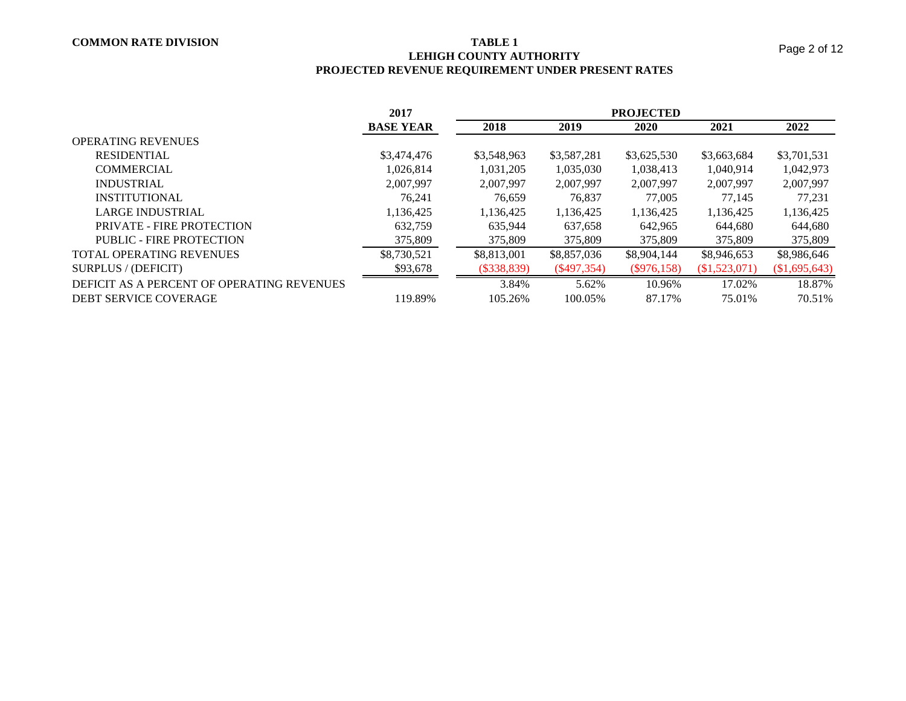# **LEHIGH COUNTY AUTHORITY PROJECTED REVENUE REQUIREMENT UNDER PRESENT RATES**

|                                            | 2017             | <b>PROJECTED</b> |             |               |               |             |  |  |
|--------------------------------------------|------------------|------------------|-------------|---------------|---------------|-------------|--|--|
|                                            | <b>BASE YEAR</b> | 2018             | 2019        | 2020          | 2021          | 2022        |  |  |
| <b>OPERATING REVENUES</b>                  |                  |                  |             |               |               |             |  |  |
| <b>RESIDENTIAL</b>                         | \$3,474,476      | \$3,548,963      | \$3,587,281 | \$3,625,530   | \$3,663,684   | \$3,701,531 |  |  |
| <b>COMMERCIAL</b>                          | 1.026.814        | 1.031.205        | 1,035,030   | 1,038,413     | 1.040.914     | 1,042,973   |  |  |
| <b>INDUSTRIAL</b>                          | 2.007.997        | 2.007.997        | 2,007,997   | 2.007.997     | 2.007.997     | 2,007,997   |  |  |
| <b>INSTITUTIONAL</b>                       | 76,241           | 76,659           | 76,837      | 77,005        | 77,145        | 77,231      |  |  |
| LARGE INDUSTRIAL                           | 1.136.425        | 1,136,425        | 1,136,425   | 1,136,425     | 1,136,425     | 1,136,425   |  |  |
| PRIVATE - FIRE PROTECTION                  | 632.759          | 635.944          | 637,658     | 642.965       | 644,680       | 644,680     |  |  |
| PUBLIC - FIRE PROTECTION                   | 375,809          | 375,809          | 375,809     | 375,809       | 375,809       | 375,809     |  |  |
| <b>TOTAL OPERATING REVENUES</b>            | \$8,730,521      | \$8,813,001      | \$8,857,036 | \$8,904,144   | \$8,946,653   | \$8,986,646 |  |  |
| SURPLUS / (DEFICIT)                        | \$93,678         | $(\$338,839)$    | (S497, 354) | $(\$976,158)$ | (\$1,523,071) | \$1,695,643 |  |  |
| DEFICIT AS A PERCENT OF OPERATING REVENUES |                  | 3.84%            | 5.62%       | 10.96%        | 17.02%        | 18.87%      |  |  |
| DEBT SERVICE COVERAGE                      | 119.89%          | 105.26%          | 100.05%     | 87.17%        | 75.01%        | 70.51%      |  |  |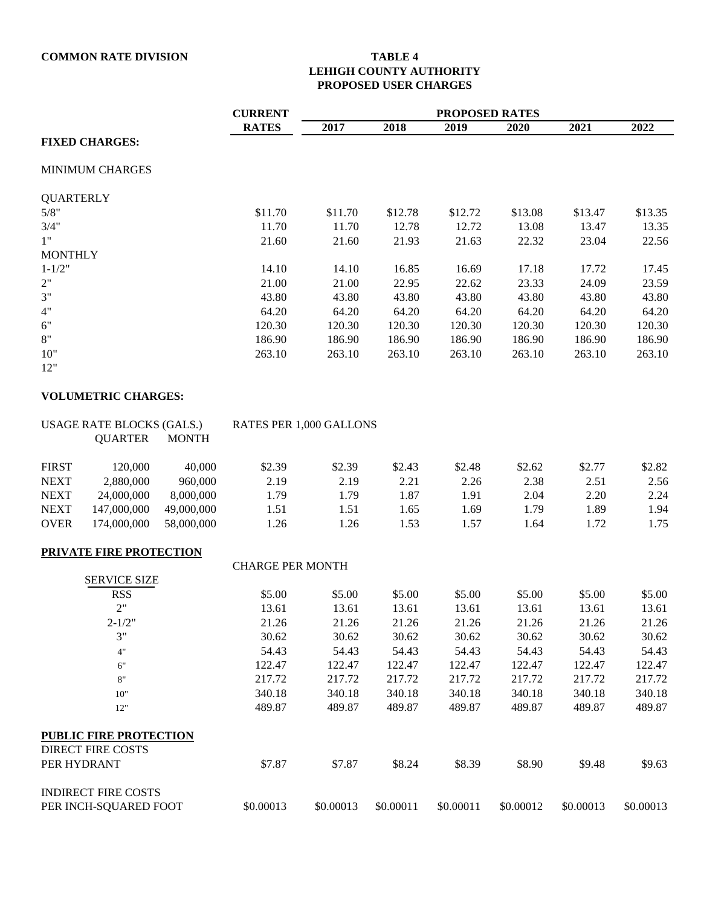# **LEHIGH COUNTY AUTHORITY PROPOSED USER CHARGES**

|                  |                                                           |              | <b>CURRENT</b>          | <b>PROPOSED RATES</b> |                  |                  |                  |                  |                  |  |  |
|------------------|-----------------------------------------------------------|--------------|-------------------------|-----------------------|------------------|------------------|------------------|------------------|------------------|--|--|
|                  |                                                           |              | <b>RATES</b>            | 2017                  | 2018             | 2019             | 2020             | 2021             | 2022             |  |  |
|                  | <b>FIXED CHARGES:</b>                                     |              |                         |                       |                  |                  |                  |                  |                  |  |  |
|                  | <b>MINIMUM CHARGES</b>                                    |              |                         |                       |                  |                  |                  |                  |                  |  |  |
| <b>QUARTERLY</b> |                                                           |              |                         |                       |                  |                  |                  |                  |                  |  |  |
| 5/8"             |                                                           |              | \$11.70                 | \$11.70               | \$12.78          | \$12.72          | \$13.08          | \$13.47          | \$13.35          |  |  |
| 3/4"             |                                                           |              | 11.70                   | 11.70                 | 12.78            | 12.72            | 13.08            | 13.47            | 13.35            |  |  |
| 1"               |                                                           |              | 21.60                   | 21.60                 | 21.93            | 21.63            | 22.32            | 23.04            | 22.56            |  |  |
| <b>MONTHLY</b>   |                                                           |              |                         |                       |                  |                  |                  |                  |                  |  |  |
| $1 - 1/2"$       |                                                           |              | 14.10                   | 14.10                 | 16.85            | 16.69            | 17.18            | 17.72            | 17.45            |  |  |
| $2"$             |                                                           |              | 21.00                   | 21.00                 | 22.95            | 22.62            | 23.33            | 24.09            | 23.59            |  |  |
| 3"               |                                                           |              | 43.80                   | 43.80                 | 43.80            | 43.80            | 43.80            | 43.80            | 43.80            |  |  |
| $4"$             |                                                           |              | 64.20                   | 64.20                 | 64.20            | 64.20            | 64.20            | 64.20            | 64.20            |  |  |
| $6"$             |                                                           |              | 120.30                  | 120.30                | 120.30           | 120.30           | 120.30           | 120.30           | 120.30           |  |  |
| $8"$             |                                                           |              | 186.90                  | 186.90                | 186.90           | 186.90           | 186.90           | 186.90           | 186.90           |  |  |
| 10"              |                                                           |              | 263.10                  | 263.10                | 263.10           | 263.10           | 263.10           | 263.10           | 263.10           |  |  |
| 12"              |                                                           |              |                         |                       |                  |                  |                  |                  |                  |  |  |
|                  | <b>VOLUMETRIC CHARGES:</b>                                |              |                         |                       |                  |                  |                  |                  |                  |  |  |
|                  | <b>USAGE RATE BLOCKS (GALS.)</b>                          |              | RATES PER 1,000 GALLONS |                       |                  |                  |                  |                  |                  |  |  |
|                  | <b>QUARTER</b>                                            | <b>MONTH</b> |                         |                       |                  |                  |                  |                  |                  |  |  |
| <b>FIRST</b>     | 120,000                                                   | 40,000       | \$2.39                  | \$2.39                | \$2.43           | \$2.48           | \$2.62           | \$2.77           | \$2.82           |  |  |
| <b>NEXT</b>      | 2,880,000                                                 | 960,000      | 2.19                    | 2.19                  | 2.21             | 2.26             | 2.38             | 2.51             | 2.56             |  |  |
| <b>NEXT</b>      | 24,000,000                                                | 8,000,000    | 1.79                    | 1.79                  | 1.87             | 1.91             | 2.04             | 2.20             | 2.24             |  |  |
| <b>NEXT</b>      | 147,000,000                                               | 49,000,000   | 1.51                    | 1.51                  | 1.65             | 1.69             | 1.79             | 1.89             | 1.94             |  |  |
| <b>OVER</b>      | 174,000,000                                               | 58,000,000   | 1.26                    | 1.26                  | 1.53             | 1.57             | 1.64             | 1.72             | 1.75             |  |  |
|                  | <b>PRIVATE FIRE PROTECTION</b>                            |              |                         |                       |                  |                  |                  |                  |                  |  |  |
|                  |                                                           |              | <b>CHARGE PER MONTH</b> |                       |                  |                  |                  |                  |                  |  |  |
|                  | <b>SERVICE SIZE</b>                                       |              |                         |                       |                  |                  |                  |                  |                  |  |  |
|                  | <b>RSS</b>                                                |              | \$5.00                  | \$5.00                | \$5.00           | \$5.00           | \$5.00           | \$5.00           | \$5.00           |  |  |
|                  | 2"                                                        |              | 13.61                   | 13.61                 | 13.61            | 13.61            | 13.61            | 13.61            | 13.61            |  |  |
|                  | $2 - 1/2"$<br>3"                                          |              | 21.26                   | 21.26                 | 21.26            | 21.26            | 21.26            | 21.26            | 21.26            |  |  |
|                  |                                                           |              | 30.62                   | 30.62                 | 30.62            | 30.62            | 30.62            | 30.62            | 30.62            |  |  |
|                  | 4"                                                        |              | 54.43                   | 54.43                 | 54.43            | 54.43            | 54.43            | 54.43            | 54.43            |  |  |
|                  | $6"$                                                      |              | 122.47                  | 122.47                | 122.47           | 122.47           | 122.47           | 122.47           | 122.47           |  |  |
|                  | $8\mathrm{''}$                                            |              | 217.72                  | 217.72                | 217.72           | 217.72           | 217.72           | 217.72           | 217.72           |  |  |
|                  | $10"$<br>12"                                              |              | 340.18<br>489.87        | 340.18<br>489.87      | 340.18<br>489.87 | 340.18<br>489.87 | 340.18<br>489.87 | 340.18<br>489.87 | 340.18<br>489.87 |  |  |
|                  |                                                           |              |                         |                       |                  |                  |                  |                  |                  |  |  |
|                  | <b>PUBLIC FIRE PROTECTION</b><br><b>DIRECT FIRE COSTS</b> |              |                         |                       |                  |                  |                  |                  |                  |  |  |
|                  | PER HYDRANT                                               |              | \$7.87                  | \$7.87                | \$8.24           | \$8.39           | \$8.90           | \$9.48           | \$9.63           |  |  |
|                  | <b>INDIRECT FIRE COSTS</b>                                |              |                         |                       |                  |                  |                  |                  |                  |  |  |

PER INCH-SQUARED FOOT \$0.00013 \$0.00013 \$0.00011 \$0.00011 \$0.00012 \$0.00013 \$0.00013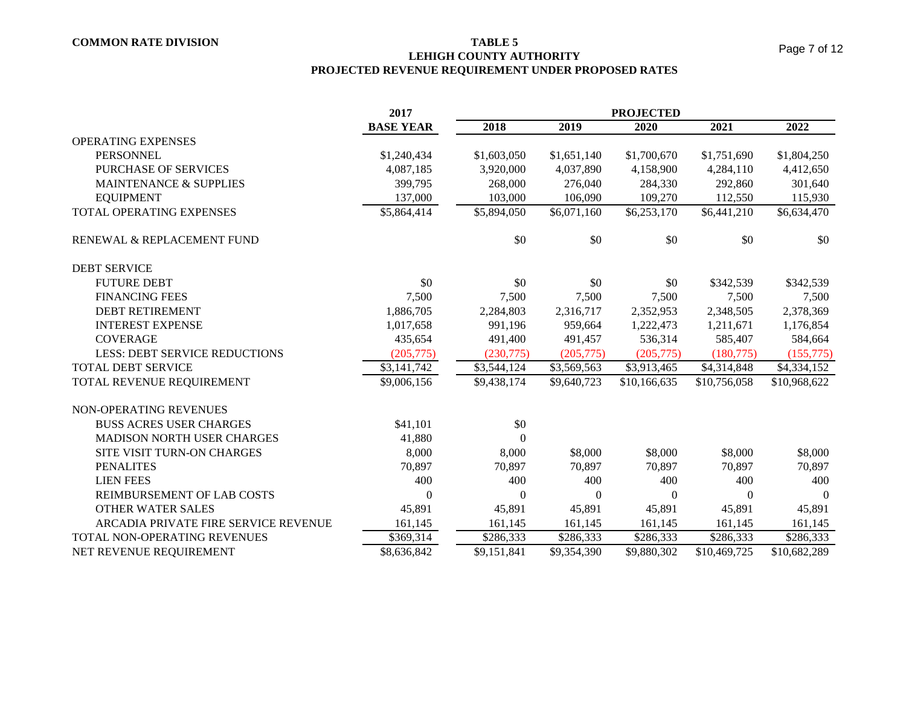**LEHIGH COUNTY AUTHORITY**

**PROJECTED REVENUE REQUIREMENT UNDER PROPOSED RATES**

|                                      | 2017             |             |             |              |              |              |
|--------------------------------------|------------------|-------------|-------------|--------------|--------------|--------------|
|                                      | <b>BASE YEAR</b> | 2018        | 2019        | 2020         | 2021         | 2022         |
| <b>OPERATING EXPENSES</b>            |                  |             |             |              |              |              |
| <b>PERSONNEL</b>                     | \$1,240,434      | \$1,603,050 | \$1,651,140 | \$1,700,670  | \$1,751,690  | \$1,804,250  |
| PURCHASE OF SERVICES                 | 4,087,185        | 3,920,000   | 4,037,890   | 4,158,900    | 4,284,110    | 4,412,650    |
| <b>MAINTENANCE &amp; SUPPLIES</b>    | 399,795          | 268,000     | 276,040     | 284,330      | 292,860      | 301,640      |
| <b>EQUIPMENT</b>                     | 137,000          | 103,000     | 106,090     | 109,270      | 112,550      | 115,930      |
| TOTAL OPERATING EXPENSES             | \$5,864,414      | \$5,894,050 | \$6,071,160 | \$6,253,170  | \$6,441,210  | \$6,634,470  |
| RENEWAL & REPLACEMENT FUND           |                  | \$0         | \$0         | \$0          | \$0          | \$0          |
| <b>DEBT SERVICE</b>                  |                  |             |             |              |              |              |
| <b>FUTURE DEBT</b>                   | \$0              | \$0         | \$0         | \$0          | \$342,539    | \$342,539    |
| <b>FINANCING FEES</b>                | 7,500            | 7,500       | 7,500       | 7,500        | 7,500        | 7,500        |
| <b>DEBT RETIREMENT</b>               | 1,886,705        | 2,284,803   | 2,316,717   | 2,352,953    | 2,348,505    | 2,378,369    |
| <b>INTEREST EXPENSE</b>              | 1,017,658        | 991,196     | 959,664     | 1,222,473    | 1,211,671    | 1,176,854    |
| <b>COVERAGE</b>                      | 435,654          | 491,400     | 491,457     | 536,314      | 585,407      | 584,664      |
| <b>LESS: DEBT SERVICE REDUCTIONS</b> | (205, 775)       | (230,775)   | (205,775)   | (205, 775)   | (180, 775)   | (155,775)    |
| <b>TOTAL DEBT SERVICE</b>            | \$3,141,742      | \$3,544,124 | \$3,569,563 | \$3,913,465  | \$4,314,848  | \$4,334,152  |
| TOTAL REVENUE REQUIREMENT            | \$9,006,156      | \$9,438,174 | \$9,640,723 | \$10,166,635 | \$10,756,058 | \$10,968,622 |
| NON-OPERATING REVENUES               |                  |             |             |              |              |              |
| <b>BUSS ACRES USER CHARGES</b>       | \$41,101         | \$0         |             |              |              |              |
| <b>MADISON NORTH USER CHARGES</b>    | 41,880           | $\Omega$    |             |              |              |              |
| SITE VISIT TURN-ON CHARGES           | 8,000            | 8,000       | \$8,000     | \$8,000      | \$8,000      | \$8,000      |
| <b>PENALITES</b>                     | 70,897           | 70,897      | 70,897      | 70,897       | 70,897       | 70,897       |
| <b>LIEN FEES</b>                     | 400              | 400         | 400         | 400          | 400          | 400          |
| REIMBURSEMENT OF LAB COSTS           | 0                | $\Omega$    | $\Omega$    | $\Omega$     | $\Omega$     | $\Omega$     |
| <b>OTHER WATER SALES</b>             | 45,891           | 45,891      | 45,891      | 45,891       | 45,891       | 45,891       |
| ARCADIA PRIVATE FIRE SERVICE REVENUE | 161,145          | 161,145     | 161,145     | 161,145      | 161,145      | 161,145      |
| TOTAL NON-OPERATING REVENUES         | \$369,314        | \$286,333   | \$286,333   | \$286,333    | \$286,333    | \$286,333    |
| NET REVENUE REQUIREMENT              | \$8,636,842      | \$9,151,841 | \$9,354,390 | \$9.880.302  | \$10,469,725 | \$10,682,289 |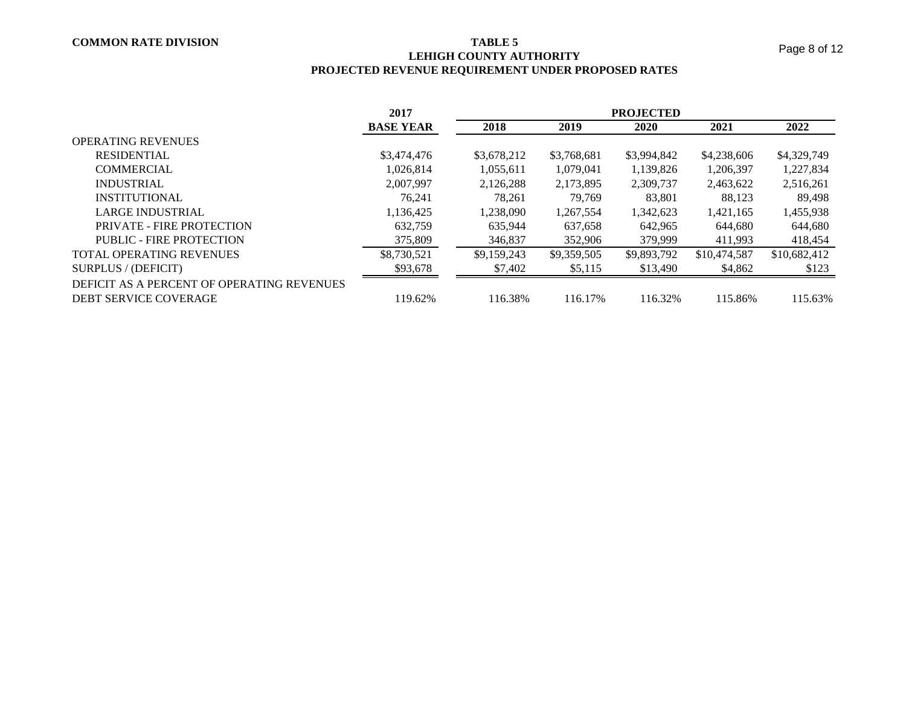# **LEHIGH COUNTY AUTHORITY PROJECTED REVENUE REQUIREMENT UNDER PROPOSED RATES**

|                                                                     | 2017             | <b>PROJECTED</b> |             |             |              |              |  |  |  |
|---------------------------------------------------------------------|------------------|------------------|-------------|-------------|--------------|--------------|--|--|--|
|                                                                     | <b>BASE YEAR</b> | 2018             | 2019        | 2020        | 2021         | 2022         |  |  |  |
| <b>OPERATING REVENUES</b>                                           |                  |                  |             |             |              |              |  |  |  |
| <b>RESIDENTIAL</b>                                                  | \$3,474,476      | \$3,678,212      | \$3,768,681 | \$3,994,842 | \$4,238,606  | \$4,329,749  |  |  |  |
| <b>COMMERCIAL</b>                                                   | 1.026.814        | 1,055,611        | 1,079,041   | 1,139,826   | 1,206,397    | 1,227,834    |  |  |  |
| <b>INDUSTRIAL</b>                                                   | 2,007,997        | 2,126,288        | 2,173,895   | 2,309,737   | 2,463,622    | 2,516,261    |  |  |  |
| <b>INSTITUTIONAL</b>                                                | 76.241           | 78.261           | 79,769      | 83,801      | 88,123       | 89,498       |  |  |  |
| <b>LARGE INDUSTRIAL</b>                                             | 1,136,425        | 1,238,090        | 1,267,554   | 1,342,623   | 1,421,165    | 1,455,938    |  |  |  |
| PRIVATE - FIRE PROTECTION                                           | 632.759          | 635.944          | 637.658     | 642.965     | 644.680      | 644,680      |  |  |  |
| PUBLIC - FIRE PROTECTION                                            | 375,809          | 346,837          | 352,906     | 379,999     | 411,993      | 418,454      |  |  |  |
| <b>TOTAL OPERATING REVENUES</b>                                     | \$8,730,521      | \$9,159,243      | \$9,359,505 | \$9,893,792 | \$10,474,587 | \$10,682,412 |  |  |  |
| SURPLUS / (DEFICIT)                                                 | \$93,678         | \$7,402          | \$5,115     | \$13,490    | \$4,862      | \$123        |  |  |  |
| DEFICIT AS A PERCENT OF OPERATING REVENUES<br>DEBT SERVICE COVERAGE | 119.62%          | 116.38%          | 116.17%     | 116.32%     | 115.86%      | 115.63%      |  |  |  |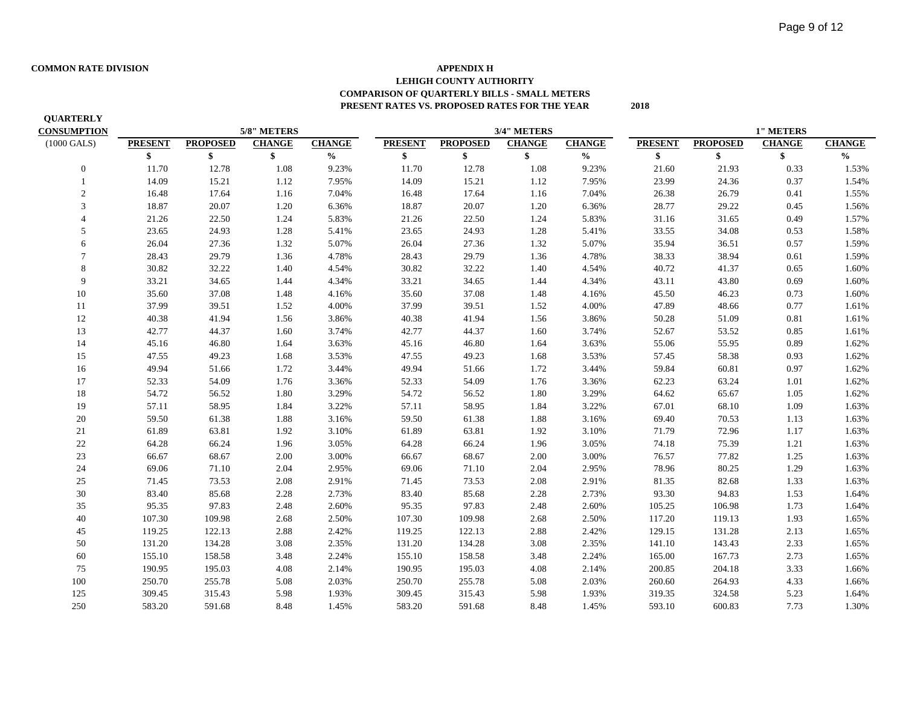**QUARTERLY**

### **COMMON RATE DIVISION APPENDIX H LEHIGH COUNTY AUTHORITY COMPARISON OF QUARTERLY BILLS - SMALL METERS PRESENT RATES VS. PROPOSED RATES FOR THE YEAR 2018**

| <b>CONSUMPTION</b>    |                |                 | 5/8" METERS   |                                             | 3/4" METERS    |                 |               | <b>1" METERS</b> |                |                 |               |               |
|-----------------------|----------------|-----------------|---------------|---------------------------------------------|----------------|-----------------|---------------|------------------|----------------|-----------------|---------------|---------------|
| $(1000 \text{ GALS})$ | <b>PRESENT</b> | <b>PROPOSED</b> | <b>CHANGE</b> | <b>CHANGE</b>                               | <b>PRESENT</b> | <b>PROPOSED</b> | <b>CHANGE</b> | <b>CHANGE</b>    | <b>PRESENT</b> | <b>PROPOSED</b> | <b>CHANGE</b> | <b>CHANGE</b> |
|                       | \$             | \$              | \$            | $\boldsymbol{\theta}\!/\!\boldsymbol{_{0}}$ | \$             | \$              | \$            | $\frac{0}{0}$    | \$             | \$              | \$            | $\frac{1}{2}$ |
| $\mathbf{0}$          | 11.70          | 12.78           | 1.08          | 9.23%                                       | 11.70          | 12.78           | 1.08          | 9.23%            | 21.60          | 21.93           | 0.33          | 1.53%         |
|                       | 14.09          | 15.21           | 1.12          | 7.95%                                       | 14.09          | 15.21           | 1.12          | 7.95%            | 23.99          | 24.36           | 0.37          | 1.54%         |
| $\overline{2}$        | 16.48          | 17.64           | 1.16          | 7.04%                                       | 16.48          | 17.64           | 1.16          | 7.04%            | 26.38          | 26.79           | 0.41          | 1.55%         |
| 3                     | 18.87          | 20.07           | 1.20          | 6.36%                                       | 18.87          | 20.07           | 1.20          | 6.36%            | 28.77          | 29.22           | 0.45          | 1.56%         |
|                       | 21.26          | 22.50           | 1.24          | 5.83%                                       | 21.26          | 22.50           | 1.24          | 5.83%            | 31.16          | 31.65           | 0.49          | 1.57%         |
| 5                     | 23.65          | 24.93           | 1.28          | 5.41%                                       | 23.65          | 24.93           | 1.28          | 5.41%            | 33.55          | 34.08           | 0.53          | 1.58%         |
| 6                     | 26.04          | 27.36           | 1.32          | 5.07%                                       | 26.04          | 27.36           | 1.32          | 5.07%            | 35.94          | 36.51           | 0.57          | 1.59%         |
| $\tau$                | 28.43          | 29.79           | 1.36          | 4.78%                                       | 28.43          | 29.79           | 1.36          | 4.78%            | 38.33          | 38.94           | 0.61          | 1.59%         |
| 8                     | 30.82          | 32.22           | 1.40          | 4.54%                                       | 30.82          | 32.22           | 1.40          | 4.54%            | 40.72          | 41.37           | 0.65          | 1.60%         |
| 9                     | 33.21          | 34.65           | 1.44          | 4.34%                                       | 33.21          | 34.65           | 1.44          | 4.34%            | 43.11          | 43.80           | 0.69          | 1.60%         |
| 10                    | 35.60          | 37.08           | 1.48          | 4.16%                                       | 35.60          | 37.08           | 1.48          | 4.16%            | 45.50          | 46.23           | 0.73          | 1.60%         |
| 11                    | 37.99          | 39.51           | 1.52          | 4.00%                                       | 37.99          | 39.51           | 1.52          | 4.00%            | 47.89          | 48.66           | 0.77          | 1.61%         |
| 12                    | 40.38          | 41.94           | 1.56          | 3.86%                                       | 40.38          | 41.94           | 1.56          | 3.86%            | 50.28          | 51.09           | 0.81          | 1.61%         |
| 13                    | 42.77          | 44.37           | 1.60          | 3.74%                                       | 42.77          | 44.37           | 1.60          | 3.74%            | 52.67          | 53.52           | 0.85          | 1.61%         |
| 14                    | 45.16          | 46.80           | 1.64          | 3.63%                                       | 45.16          | 46.80           | 1.64          | 3.63%            | 55.06          | 55.95           | 0.89          | 1.62%         |
| 15                    | 47.55          | 49.23           | 1.68          | 3.53%                                       | 47.55          | 49.23           | 1.68          | 3.53%            | 57.45          | 58.38           | 0.93          | 1.62%         |
| 16                    | 49.94          | 51.66           | 1.72          | 3.44%                                       | 49.94          | 51.66           | 1.72          | 3.44%            | 59.84          | 60.81           | 0.97          | 1.62%         |
| 17                    | 52.33          | 54.09           | 1.76          | 3.36%                                       | 52.33          | 54.09           | 1.76          | 3.36%            | 62.23          | 63.24           | 1.01          | 1.62%         |
| 18                    | 54.72          | 56.52           | 1.80          | 3.29%                                       | 54.72          | 56.52           | 1.80          | 3.29%            | 64.62          | 65.67           | 1.05          | 1.62%         |
| 19                    | 57.11          | 58.95           | 1.84          | 3.22%                                       | 57.11          | 58.95           | 1.84          | 3.22%            | 67.01          | 68.10           | 1.09          | 1.63%         |
| $20\,$                | 59.50          | 61.38           | 1.88          | 3.16%                                       | 59.50          | 61.38           | 1.88          | 3.16%            | 69.40          | 70.53           | 1.13          | 1.63%         |
| 21                    | 61.89          | 63.81           | 1.92          | 3.10%                                       | 61.89          | 63.81           | 1.92          | 3.10%            | 71.79          | 72.96           | 1.17          | 1.63%         |
| $22\,$                | 64.28          | 66.24           | 1.96          | 3.05%                                       | 64.28          | 66.24           | 1.96          | 3.05%            | 74.18          | 75.39           | 1.21          | 1.63%         |
| 23                    | 66.67          | 68.67           | 2.00          | 3.00%                                       | 66.67          | 68.67           | 2.00          | $3.00\%$         | 76.57          | 77.82           | 1.25          | 1.63%         |
| 24                    | 69.06          | 71.10           | 2.04          | 2.95%                                       | 69.06          | 71.10           | 2.04          | 2.95%            | 78.96          | 80.25           | 1.29          | 1.63%         |
| 25                    | 71.45          | 73.53           | 2.08          | 2.91%                                       | 71.45          | 73.53           | 2.08          | 2.91%            | 81.35          | 82.68           | 1.33          | 1.63%         |
| $30\,$                | 83.40          | 85.68           | 2.28          | 2.73%                                       | 83.40          | 85.68           | 2.28          | 2.73%            | 93.30          | 94.83           | 1.53          | 1.64%         |
| 35                    | 95.35          | 97.83           | 2.48          | 2.60%                                       | 95.35          | 97.83           | 2.48          | 2.60%            | 105.25         | 106.98          | 1.73          | 1.64%         |
| 40                    | 107.30         | 109.98          | 2.68          | 2.50%                                       | 107.30         | 109.98          | 2.68          | 2.50%            | 117.20         | 119.13          | 1.93          | 1.65%         |
| 45                    | 119.25         | 122.13          | 2.88          | 2.42%                                       | 119.25         | 122.13          | 2.88          | 2.42%            | 129.15         | 131.28          | 2.13          | 1.65%         |
| 50                    | 131.20         | 134.28          | 3.08          | 2.35%                                       | 131.20         | 134.28          | 3.08          | 2.35%            | 141.10         | 143.43          | 2.33          | 1.65%         |
| 60                    | 155.10         | 158.58          | 3.48          | 2.24%                                       | 155.10         | 158.58          | 3.48          | 2.24%            | 165.00         | 167.73          | 2.73          | 1.65%         |
| 75                    | 190.95         | 195.03          | 4.08          | 2.14%                                       | 190.95         | 195.03          | 4.08          | 2.14%            | 200.85         | 204.18          | 3.33          | 1.66%         |
| 100                   | 250.70         | 255.78          | 5.08          | 2.03%                                       | 250.70         | 255.78          | 5.08          | 2.03%            | 260.60         | 264.93          | 4.33          | 1.66%         |
| 125                   | 309.45         | 315.43          | 5.98          | 1.93%                                       | 309.45         | 315.43          | 5.98          | 1.93%            | 319.35         | 324.58          | 5.23          | 1.64%         |
| 250                   | 583.20         | 591.68          | 8.48          | 1.45%                                       | 583.20         | 591.68          | 8.48          | 1.45%            | 593.10         | 600.83          | 7.73          | 1.30%         |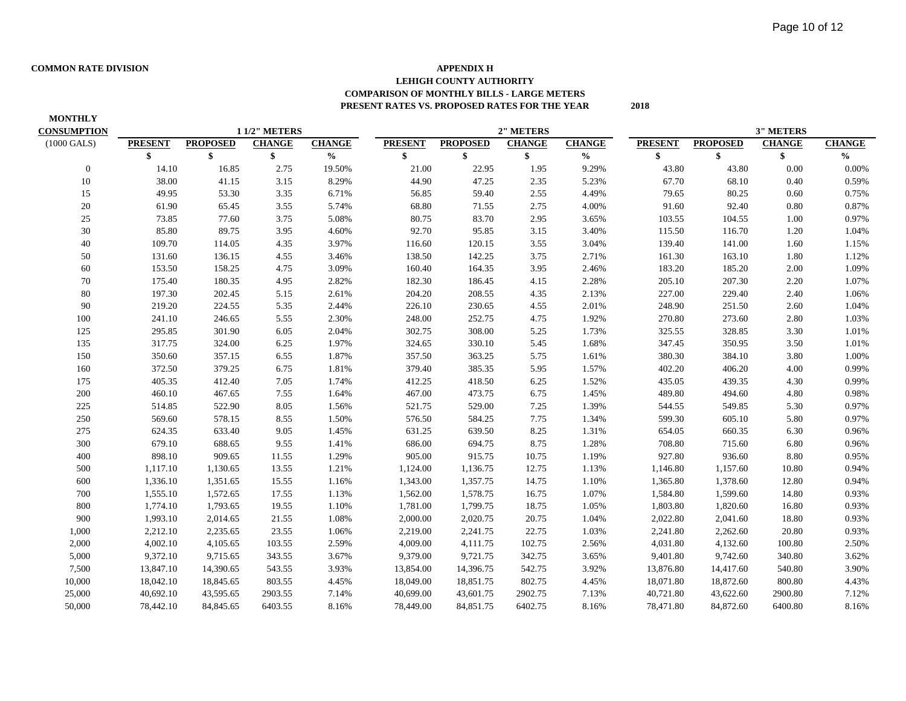### **COMMON RATE DIVISION APPENDIX H LEHIGH COUNTY AUTHORITY COMPARISON OF MONTHLY BILLS - LARGE METERS PRESENT RATES VS. PROPOSED RATES FOR THE YEAR 2018**

| <b>MONTHLY</b>        |                |                 |                     |               |                |                 |               |               |                |                 |                  |               |
|-----------------------|----------------|-----------------|---------------------|---------------|----------------|-----------------|---------------|---------------|----------------|-----------------|------------------|---------------|
| <b>CONSUMPTION</b>    |                |                 | <b>11/2" METERS</b> |               |                |                 | 2" METERS     |               |                |                 | <b>3" METERS</b> |               |
| $(1000 \text{ GALS})$ | <b>PRESENT</b> | <b>PROPOSED</b> | <b>CHANGE</b>       | <b>CHANGE</b> | <b>PRESENT</b> | <b>PROPOSED</b> | <b>CHANGE</b> | <b>CHANGE</b> | <b>PRESENT</b> | <b>PROPOSED</b> | <b>CHANGE</b>    | <b>CHANGE</b> |
|                       | \$             | \$              | \$                  | $\frac{0}{0}$ | \$             | \$              | \$            | $\frac{0}{0}$ | \$             | \$              | \$               | $\frac{0}{0}$ |
| $\mathbf{0}$          | 14.10          | 16.85           | 2.75                | 19.50%        | 21.00          | 22.95           | 1.95          | 9.29%         | 43.80          | 43.80           | 0.00             | 0.00%         |
| 10                    | 38.00          | 41.15           | 3.15                | 8.29%         | 44.90          | 47.25           | 2.35          | 5.23%         | 67.70          | 68.10           | 0.40             | 0.59%         |
| 15                    | 49.95          | 53.30           | 3.35                | 6.71%         | 56.85          | 59.40           | 2.55          | 4.49%         | 79.65          | 80.25           | 0.60             | 0.75%         |
| 20                    | 61.90          | 65.45           | 3.55                | 5.74%         | 68.80          | 71.55           | 2.75          | 4.00%         | 91.60          | 92.40           | 0.80             | 0.87%         |
| 25                    | 73.85          | 77.60           | 3.75                | 5.08%         | 80.75          | 83.70           | 2.95          | 3.65%         | 103.55         | 104.55          | 1.00             | 0.97%         |
| 30                    | 85.80          | 89.75           | 3.95                | 4.60%         | 92.70          | 95.85           | 3.15          | 3.40%         | 115.50         | 116.70          | 1.20             | 1.04%         |
| 40                    | 109.70         | 114.05          | 4.35                | 3.97%         | 116.60         | 120.15          | 3.55          | 3.04%         | 139.40         | 141.00          | 1.60             | 1.15%         |
| 50                    | 131.60         | 136.15          | 4.55                | 3.46%         | 138.50         | 142.25          | 3.75          | 2.71%         | 161.30         | 163.10          | 1.80             | 1.12%         |
| 60                    | 153.50         | 158.25          | 4.75                | 3.09%         | 160.40         | 164.35          | 3.95          | 2.46%         | 183.20         | 185.20          | 2.00             | 1.09%         |
| 70                    | 175.40         | 180.35          | 4.95                | 2.82%         | 182.30         | 186.45          | 4.15          | 2.28%         | 205.10         | 207.30          | 2.20             | 1.07%         |
| 80                    | 197.30         | 202.45          | 5.15                | 2.61%         | 204.20         | 208.55          | 4.35          | 2.13%         | 227.00         | 229.40          | 2.40             | 1.06%         |
| 90                    | 219.20         | 224.55          | 5.35                | 2.44%         | 226.10         | 230.65          | 4.55          | 2.01%         | 248.90         | 251.50          | 2.60             | 1.04%         |
| 100                   | 241.10         | 246.65          | 5.55                | 2.30%         | 248.00         | 252.75          | 4.75          | 1.92%         | 270.80         | 273.60          | 2.80             | 1.03%         |
| 125                   | 295.85         | 301.90          | 6.05                | 2.04%         | 302.75         | 308.00          | 5.25          | 1.73%         | 325.55         | 328.85          | 3.30             | 1.01%         |
| 135                   | 317.75         | 324.00          | 6.25                | 1.97%         | 324.65         | 330.10          | 5.45          | 1.68%         | 347.45         | 350.95          | 3.50             | 1.01%         |
| 150                   | 350.60         | 357.15          | 6.55                | 1.87%         | 357.50         | 363.25          | 5.75          | 1.61%         | 380.30         | 384.10          | 3.80             | 1.00%         |
| 160                   | 372.50         | 379.25          | 6.75                | 1.81%         | 379.40         | 385.35          | 5.95          | 1.57%         | 402.20         | 406.20          | 4.00             | 0.99%         |
| 175                   | 405.35         | 412.40          | 7.05                | 1.74%         | 412.25         | 418.50          | 6.25          | 1.52%         | 435.05         | 439.35          | 4.30             | 0.99%         |
| 200                   | 460.10         | 467.65          | 7.55                | 1.64%         | 467.00         | 473.75          | 6.75          | 1.45%         | 489.80         | 494.60          | 4.80             | 0.98%         |
| 225                   | 514.85         | 522.90          | 8.05                | 1.56%         | 521.75         | 529.00          | 7.25          | 1.39%         | 544.55         | 549.85          | 5.30             | 0.97%         |
| 250                   | 569.60         | 578.15          | 8.55                | 1.50%         | 576.50         | 584.25          | 7.75          | 1.34%         | 599.30         | 605.10          | 5.80             | 0.97%         |
| 275                   | 624.35         | 633.40          | 9.05                | 1.45%         | 631.25         | 639.50          | 8.25          | 1.31%         | 654.05         | 660.35          | 6.30             | 0.96%         |
| 300                   | 679.10         | 688.65          | 9.55                | 1.41%         | 686.00         | 694.75          | 8.75          | 1.28%         | 708.80         | 715.60          | 6.80             | 0.96%         |
| 400                   | 898.10         | 909.65          | 11.55               | 1.29%         | 905.00         | 915.75          | 10.75         | 1.19%         | 927.80         | 936.60          | 8.80             | 0.95%         |
| 500                   | 1,117.10       | 1,130.65        | 13.55               | 1.21%         | 1,124.00       | 1,136.75        | 12.75         | 1.13%         | 1,146.80       | 1,157.60        | 10.80            | 0.94%         |
| 600                   | 1,336.10       | 1,351.65        | 15.55               | 1.16%         | 1,343.00       | 1,357.75        | 14.75         | 1.10%         | 1,365.80       | 1,378.60        | 12.80            | 0.94%         |
| 700                   | 1,555.10       | 1,572.65        | 17.55               | 1.13%         | 1,562.00       | 1,578.75        | 16.75         | 1.07%         | 1,584.80       | 1,599.60        | 14.80            | 0.93%         |
| 800                   | 1,774.10       | 1,793.65        | 19.55               | 1.10%         | 1,781.00       | 1,799.75        | 18.75         | 1.05%         | 1,803.80       | 1,820.60        | 16.80            | 0.93%         |
| 900                   | 1,993.10       | 2,014.65        | 21.55               | 1.08%         | 2,000.00       | 2,020.75        | 20.75         | 1.04%         | 2,022.80       | 2,041.60        | 18.80            | 0.93%         |
| 1,000                 | 2,212.10       | 2,235.65        | 23.55               | 1.06%         | 2,219.00       | 2,241.75        | 22.75         | 1.03%         | 2,241.80       | 2,262.60        | 20.80            | 0.93%         |
| 2,000                 | 4,002.10       | 4,105.65        | 103.55              | 2.59%         | 4,009.00       | 4,111.75        | 102.75        | 2.56%         | 4,031.80       | 4,132.60        | 100.80           | 2.50%         |
| 5,000                 | 9,372.10       | 9,715.65        | 343.55              | 3.67%         | 9,379.00       | 9,721.75        | 342.75        | 3.65%         | 9,401.80       | 9,742.60        | 340.80           | 3.62%         |
| 7,500                 | 13,847.10      | 14,390.65       | 543.55              | 3.93%         | 13,854.00      | 14,396.75       | 542.75        | 3.92%         | 13,876.80      | 14,417.60       | 540.80           | 3.90%         |
| 10,000                | 18,042.10      | 18,845.65       | 803.55              | 4.45%         | 18,049.00      | 18,851.75       | 802.75        | 4.45%         | 18,071.80      | 18,872.60       | 800.80           | 4.43%         |
| 25,000                | 40,692.10      | 43,595.65       | 2903.55             | 7.14%         | 40,699.00      | 43,601.75       | 2902.75       | 7.13%         | 40,721.80      | 43,622.60       | 2900.80          | 7.12%         |
| 50,000                | 78,442.10      | 84,845.65       | 6403.55             | 8.16%         | 78,449.00      | 84,851.75       | 6402.75       | 8.16%         | 78,471.80      | 84,872.60       | 6400.80          | 8.16%         |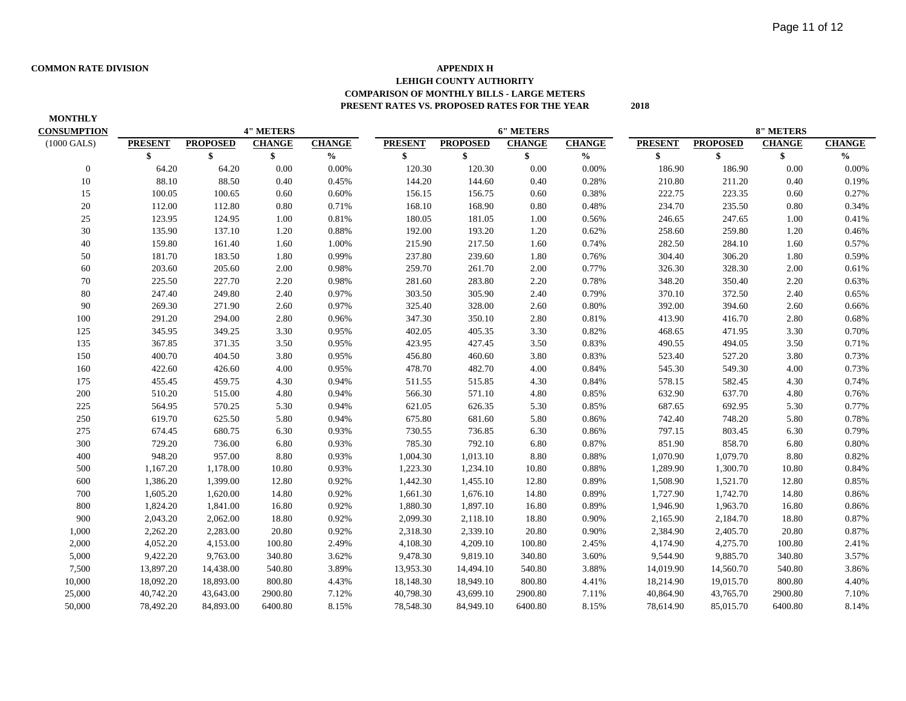### **COMMON RATE DIVISION APPENDIX H LEHIGH COUNTY AUTHORITY COMPARISON OF MONTHLY BILLS - LARGE METERS PRESENT RATES VS. PROPOSED RATES FOR THE YEAR 2018**

| <b>MONTHLY</b>        |                |                 |                  |               |                |                 |                  |               |                |                 |                  |               |
|-----------------------|----------------|-----------------|------------------|---------------|----------------|-----------------|------------------|---------------|----------------|-----------------|------------------|---------------|
| <b>CONSUMPTION</b>    |                |                 | <b>4" METERS</b> |               |                |                 | <b>6" METERS</b> |               |                |                 | <b>8" METERS</b> |               |
| $(1000 \text{ GALS})$ | <b>PRESENT</b> | <b>PROPOSED</b> | <b>CHANGE</b>    | <b>CHANGE</b> | <b>PRESENT</b> | <b>PROPOSED</b> | <b>CHANGE</b>    | <b>CHANGE</b> | <b>PRESENT</b> | <b>PROPOSED</b> | <b>CHANGE</b>    | <b>CHANGE</b> |
|                       | \$             | \$              | \$               | $\frac{0}{0}$ | \$             | \$              | \$               | $\frac{0}{0}$ | \$             | \$              | \$               | $\frac{0}{0}$ |
| $\boldsymbol{0}$      | 64.20          | 64.20           | 0.00             | $0.00\%$      | 120.30         | 120.30          | 0.00             | 0.00%         | 186.90         | 186.90          | 0.00             | 0.00%         |
| 10                    | 88.10          | 88.50           | 0.40             | 0.45%         | 144.20         | 144.60          | 0.40             | 0.28%         | 210.80         | 211.20          | 0.40             | 0.19%         |
| 15                    | 100.05         | 100.65          | 0.60             | 0.60%         | 156.15         | 156.75          | 0.60             | 0.38%         | 222.75         | 223.35          | 0.60             | 0.27%         |
| 20                    | 112.00         | 112.80          | 0.80             | 0.71%         | 168.10         | 168.90          | 0.80             | 0.48%         | 234.70         | 235.50          | 0.80             | 0.34%         |
| 25                    | 123.95         | 124.95          | 1.00             | 0.81%         | 180.05         | 181.05          | 1.00             | 0.56%         | 246.65         | 247.65          | 1.00             | 0.41%         |
| 30                    | 135.90         | 137.10          | 1.20             | 0.88%         | 192.00         | 193.20          | 1.20             | 0.62%         | 258.60         | 259.80          | 1.20             | 0.46%         |
| 40                    | 159.80         | 161.40          | 1.60             | 1.00%         | 215.90         | 217.50          | 1.60             | 0.74%         | 282.50         | 284.10          | 1.60             | 0.57%         |
| 50                    | 181.70         | 183.50          | 1.80             | 0.99%         | 237.80         | 239.60          | 1.80             | 0.76%         | 304.40         | 306.20          | 1.80             | 0.59%         |
| 60                    | 203.60         | 205.60          | 2.00             | 0.98%         | 259.70         | 261.70          | 2.00             | 0.77%         | 326.30         | 328.30          | 2.00             | 0.61%         |
| 70                    | 225.50         | 227.70          | 2.20             | 0.98%         | 281.60         | 283.80          | 2.20             | 0.78%         | 348.20         | 350.40          | 2.20             | 0.63%         |
| 80                    | 247.40         | 249.80          | 2.40             | 0.97%         | 303.50         | 305.90          | 2.40             | 0.79%         | 370.10         | 372.50          | 2.40             | 0.65%         |
| 90                    | 269.30         | 271.90          | 2.60             | 0.97%         | 325.40         | 328.00          | 2.60             | 0.80%         | 392.00         | 394.60          | 2.60             | 0.66%         |
| 100                   | 291.20         | 294.00          | 2.80             | 0.96%         | 347.30         | 350.10          | 2.80             | 0.81%         | 413.90         | 416.70          | 2.80             | 0.68%         |
| 125                   | 345.95         | 349.25          | 3.30             | 0.95%         | 402.05         | 405.35          | 3.30             | 0.82%         | 468.65         | 471.95          | 3.30             | 0.70%         |
| 135                   | 367.85         | 371.35          | 3.50             | 0.95%         | 423.95         | 427.45          | 3.50             | 0.83%         | 490.55         | 494.05          | 3.50             | 0.71%         |
| 150                   | 400.70         | 404.50          | 3.80             | 0.95%         | 456.80         | 460.60          | 3.80             | 0.83%         | 523.40         | 527.20          | 3.80             | 0.73%         |
| 160                   | 422.60         | 426.60          | 4.00             | 0.95%         | 478.70         | 482.70          | 4.00             | 0.84%         | 545.30         | 549.30          | 4.00             | 0.73%         |
| 175                   | 455.45         | 459.75          | 4.30             | 0.94%         | 511.55         | 515.85          | 4.30             | 0.84%         | 578.15         | 582.45          | 4.30             | 0.74%         |
| 200                   | 510.20         | 515.00          | 4.80             | 0.94%         | 566.30         | 571.10          | 4.80             | 0.85%         | 632.90         | 637.70          | 4.80             | 0.76%         |
| 225                   | 564.95         | 570.25          | 5.30             | 0.94%         | 621.05         | 626.35          | 5.30             | 0.85%         | 687.65         | 692.95          | 5.30             | 0.77%         |
| 250                   | 619.70         | 625.50          | 5.80             | 0.94%         | 675.80         | 681.60          | 5.80             | 0.86%         | 742.40         | 748.20          | 5.80             | 0.78%         |
| 275                   | 674.45         | 680.75          | 6.30             | 0.93%         | 730.55         | 736.85          | 6.30             | 0.86%         | 797.15         | 803.45          | 6.30             | 0.79%         |
| 300                   | 729.20         | 736.00          | 6.80             | 0.93%         | 785.30         | 792.10          | 6.80             | 0.87%         | 851.90         | 858.70          | 6.80             | 0.80%         |
| 400                   | 948.20         | 957.00          | 8.80             | 0.93%         | 1,004.30       | 1,013.10        | 8.80             | 0.88%         | 1,070.90       | 1,079.70        | 8.80             | 0.82%         |
| 500                   | 1,167.20       | 1,178.00        | 10.80            | 0.93%         | 1,223.30       | 1,234.10        | 10.80            | 0.88%         | 1,289.90       | 1,300.70        | 10.80            | 0.84%         |
| 600                   | 1,386.20       | 1,399.00        | 12.80            | 0.92%         | 1,442.30       | 1,455.10        | 12.80            | 0.89%         | 1,508.90       | 1,521.70        | 12.80            | 0.85%         |
| 700                   | 1,605.20       | 1,620.00        | 14.80            | 0.92%         | 1,661.30       | 1,676.10        | 14.80            | 0.89%         | 1,727.90       | 1,742.70        | 14.80            | 0.86%         |
| 800                   | 1,824.20       | 1,841.00        | 16.80            | 0.92%         | 1,880.30       | 1,897.10        | 16.80            | 0.89%         | 1,946.90       | 1,963.70        | 16.80            | 0.86%         |
| 900                   | 2,043.20       | 2,062.00        | 18.80            | 0.92%         | 2,099.30       | 2,118.10        | 18.80            | 0.90%         | 2,165.90       | 2,184.70        | 18.80            | 0.87%         |
| 1,000                 | 2,262.20       | 2,283.00        | 20.80            | 0.92%         | 2,318.30       | 2,339.10        | 20.80            | 0.90%         | 2,384.90       | 2,405.70        | 20.80            | 0.87%         |
| 2,000                 | 4,052.20       | 4,153.00        | 100.80           | 2.49%         | 4,108.30       | 4,209.10        | 100.80           | 2.45%         | 4,174.90       | 4,275.70        | 100.80           | 2.41%         |
| 5,000                 | 9,422.20       | 9,763.00        | 340.80           | 3.62%         | 9,478.30       | 9,819.10        | 340.80           | 3.60%         | 9,544.90       | 9,885.70        | 340.80           | 3.57%         |
| 7,500                 | 13,897.20      | 14,438.00       | 540.80           | 3.89%         | 13,953.30      | 14,494.10       | 540.80           | 3.88%         | 14,019.90      | 14,560.70       | 540.80           | 3.86%         |
| 10,000                | 18,092.20      | 18,893.00       | 800.80           | 4.43%         | 18,148.30      | 18,949.10       | 800.80           | 4.41%         | 18,214.90      | 19,015.70       | 800.80           | 4.40%         |
| 25,000                | 40,742.20      | 43,643.00       | 2900.80          | 7.12%         | 40,798.30      | 43,699.10       | 2900.80          | 7.11%         | 40,864.90      | 43,765.70       | 2900.80          | 7.10%         |
| 50,000                | 78,492.20      | 84,893.00       | 6400.80          | 8.15%         | 78,548.30      | 84,949.10       | 6400.80          | 8.15%         | 78,614.90      | 85,015.70       | 6400.80          | 8.14%         |